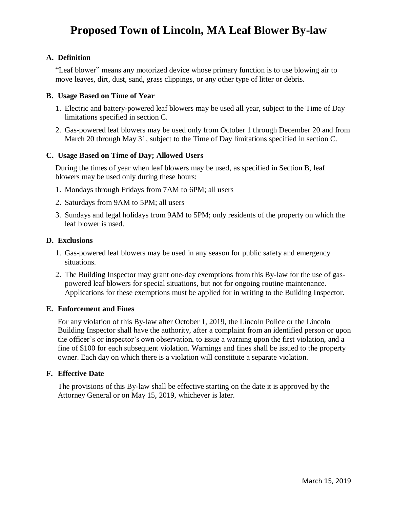# **Proposed Town of Lincoln, MA Leaf Blower By-law**

## **A. Definition**

"Leaf blower" means any motorized device whose primary function is to use blowing air to move leaves, dirt, dust, sand, grass clippings, or any other type of litter or debris.

### **B. Usage Based on Time of Year**

- 1. Electric and battery-powered leaf blowers may be used all year, subject to the Time of Day limitations specified in section C.
- 2. Gas-powered leaf blowers may be used only from October 1 through December 20 and from March 20 through May 31, subject to the Time of Day limitations specified in section C.

### **C. Usage Based on Time of Day; Allowed Users**

During the times of year when leaf blowers may be used, as specified in Section B, leaf blowers may be used only during these hours:

- 1. Mondays through Fridays from 7AM to 6PM; all users
- 2. Saturdays from 9AM to 5PM; all users
- 3. Sundays and legal holidays from 9AM to 5PM; only residents of the property on which the leaf blower is used.

#### **D. Exclusions**

- 1. Gas-powered leaf blowers may be used in any season for public safety and emergency situations.
- 2. The Building Inspector may grant one-day exemptions from this By-law for the use of gaspowered leaf blowers for special situations, but not for ongoing routine maintenance. Applications for these exemptions must be applied for in writing to the Building Inspector.

### **E. Enforcement and Fines**

For any violation of this By-law after October 1, 2019, the Lincoln Police or the Lincoln Building Inspector shall have the authority, after a complaint from an identified person or upon the officer's or inspector's own observation, to issue a warning upon the first violation, and a fine of \$100 for each subsequent violation. Warnings and fines shall be issued to the property owner. Each day on which there is a violation will constitute a separate violation.

### **F. Effective Date**

The provisions of this By-law shall be effective starting on the date it is approved by the Attorney General or on May 15, 2019, whichever is later.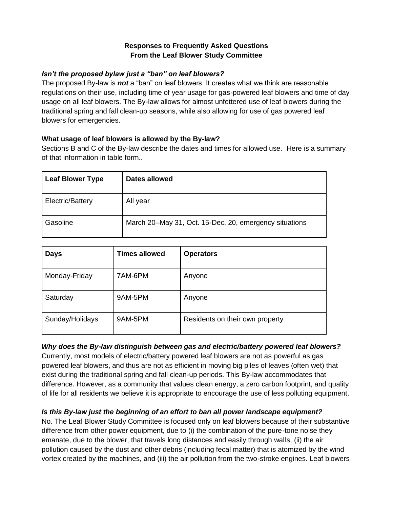## **Responses to Frequently Asked Questions From the Leaf Blower Study Committee**

## *Isn't the proposed bylaw just a "ban" on leaf blowers?*

The proposed By-law is *not* a "ban" on leaf blowers. It creates what we think are reasonable regulations on their use, including time of year usage for gas-powered leaf blowers and time of day usage on all leaf blowers. The By-law allows for almost unfettered use of leaf blowers during the traditional spring and fall clean-up seasons, while also allowing for use of gas powered leaf blowers for emergencies.

## **What usage of leaf blowers is allowed by the By-law?**

Sections B and C of the By-law describe the dates and times for allowed use. Here is a summary of that information in table form..

| <b>Leaf Blower Type</b> | Dates allowed                                          |
|-------------------------|--------------------------------------------------------|
| Electric/Battery        | All year                                               |
| Gasoline                | March 20–May 31, Oct. 15-Dec. 20, emergency situations |

| <b>Days</b>     | <b>Times allowed</b> | <b>Operators</b>                |
|-----------------|----------------------|---------------------------------|
| Monday-Friday   | 7AM-6PM              | Anyone                          |
| Saturday        | 9AM-5PM              | Anyone                          |
| Sunday/Holidays | 9AM-5PM              | Residents on their own property |

### *Why does the By-law distinguish between gas and electric/battery powered leaf blowers?*

Currently, most models of electric/battery powered leaf blowers are not as powerful as gas powered leaf blowers, and thus are not as efficient in moving big piles of leaves (often wet) that exist during the traditional spring and fall clean-up periods. This By-law accommodates that difference. However, as a community that values clean energy, a zero carbon footprint, and quality of life for all residents we believe it is appropriate to encourage the use of less polluting equipment.

# *Is this By-law just the beginning of an effort to ban all power landscape equipment?*

No. The Leaf Blower Study Committee is focused only on leaf blowers because of their substantive difference from other power equipment, due to (i) the combination of the pure-tone noise they emanate, due to the blower, that travels long distances and easily through walls, (ii) the air pollution caused by the dust and other debris (including fecal matter) that is atomized by the wind vortex created by the machines, and (iii) the air pollution from the two-stroke engines. Leaf blowers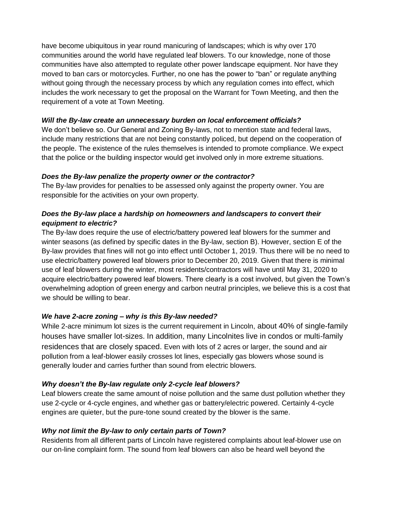have become ubiquitous in year round manicuring of landscapes; which is why over 170 communities around the world have regulated leaf blowers. To our knowledge, none of those communities have also attempted to regulate other power landscape equipment. Nor have they moved to ban cars or motorcycles. Further, no one has the power to "ban" or regulate anything without going through the necessary process by which any regulation comes into effect, which includes the work necessary to get the proposal on the Warrant for Town Meeting, and then the requirement of a vote at Town Meeting.

## *Will the By-law create an unnecessary burden on local enforcement officials?*

We don't believe so. Our General and Zoning By-laws, not to mention state and federal laws, include many restrictions that are not being constantly policed, but depend on the cooperation of the people. The existence of the rules themselves is intended to promote compliance. We expect that the police or the building inspector would get involved only in more extreme situations.

## *Does the By-law penalize the property owner or the contractor?*

The By-law provides for penalties to be assessed only against the property owner. You are responsible for the activities on your own property.

# *Does the By-law place a hardship on homeowners and landscapers to convert their equipment to electric?*

The By-law does require the use of electric/battery powered leaf blowers for the summer and winter seasons (as defined by specific dates in the By-law, section B). However, section E of the By-law provides that fines will not go into effect until October 1, 2019. Thus there will be no need to use electric/battery powered leaf blowers prior to December 20, 2019. Given that there is minimal use of leaf blowers during the winter, most residents/contractors will have until May 31, 2020 to acquire electric/battery powered leaf blowers. There clearly is a cost involved, but given the Town's overwhelming adoption of green energy and carbon neutral principles, we believe this is a cost that we should be willing to bear.

## *We have 2-acre zoning – why is this By-law needed?*

While 2-acre minimum lot sizes is the current requirement in Lincoln, about 40% of single-family houses have smaller lot-sizes. In addition, many Lincolnites live in condos or multi-family residences that are closely spaced. Even with lots of 2 acres or larger, the sound and air pollution from a leaf-blower easily crosses lot lines, especially gas blowers whose sound is generally louder and carries further than sound from electric blowers.

### *Why doesn't the By-law regulate only 2-cycle leaf blowers?*

Leaf blowers create the same amount of noise pollution and the same dust pollution whether they use 2-cycle or 4-cycle engines, and whether gas or battery/electric powered. Certainly 4-cycle engines are quieter, but the pure-tone sound created by the blower is the same.

### *Why not limit the By-law to only certain parts of Town?*

Residents from all different parts of Lincoln have registered complaints about leaf-blower use on our on-line complaint form. The sound from leaf blowers can also be heard well beyond the